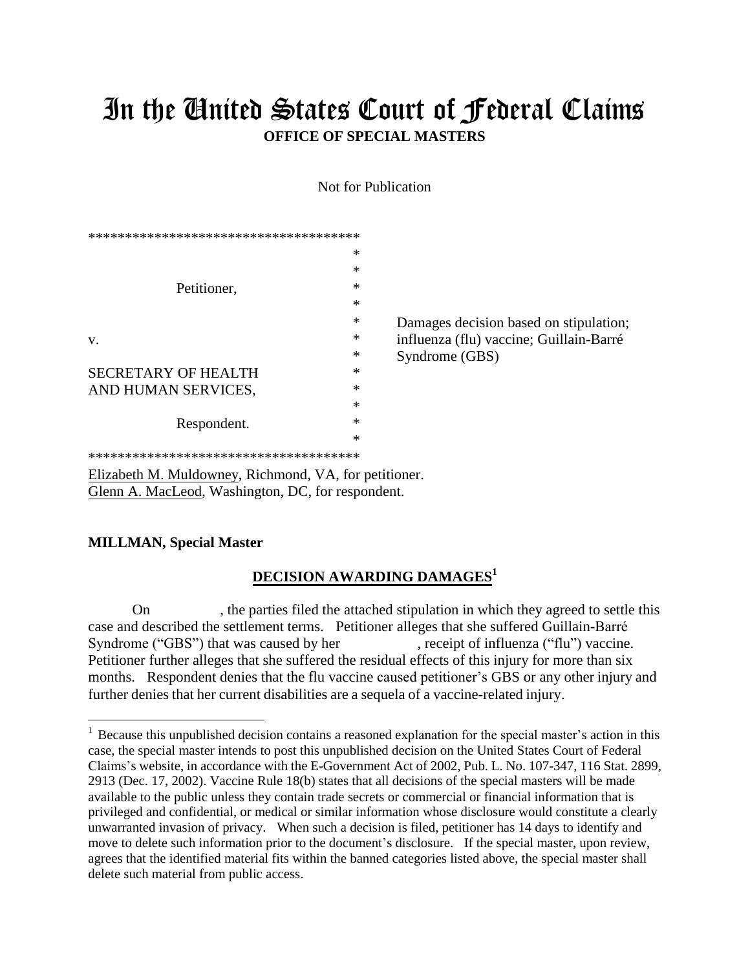## In the United States Court of Federal Claims **OFFICE OF SPECIAL MASTERS**

Not for Publication

| *      |                                                                              |
|--------|------------------------------------------------------------------------------|
| *      |                                                                              |
| *      |                                                                              |
| *      |                                                                              |
| $\ast$ | Damages decision based on stipulation;                                       |
| *      | influenza (flu) vaccine; Guillain-Barré                                      |
| *      | Syndrome (GBS)                                                               |
| *      |                                                                              |
| *      |                                                                              |
| *      |                                                                              |
| *      |                                                                              |
| *      |                                                                              |
|        |                                                                              |
|        | **************************************<br>********************************** |

Elizabeth M. Muldowney, Richmond, VA, for petitioner. Glenn A. MacLeod, Washington, DC, for respondent.

## **MILLMAN, Special Master**

## **DECISION AWARDING DAMAGES<sup>1</sup>**

On , the parties filed the attached stipulation in which they agreed to settle this case and described the settlement terms. Petitioner alleges that she suffered Guillain-Barré Syndrome ("GBS") that was caused by her , receipt of influenza ("flu") vaccine. Petitioner further alleges that she suffered the residual effects of this injury for more than six months. Respondent denies that the flu vaccine caused petitioner's GBS or any other injury and further denies that her current disabilities are a sequela of a vaccine-related injury.

<sup>&</sup>lt;sup>1</sup> Because this unpublished decision contains a reasoned explanation for the special master's action in this case, the special master intends to post this unpublished decision on the United States Court of Federal Claims's website, in accordance with the E-Government Act of 2002, Pub. L. No. 107-347, 116 Stat. 2899, 2913 (Dec. 17, 2002). Vaccine Rule 18(b) states that all decisions of the special masters will be made available to the public unless they contain trade secrets or commercial or financial information that is privileged and confidential, or medical or similar information whose disclosure would constitute a clearly unwarranted invasion of privacy. When such a decision is filed, petitioner has 14 days to identify and move to delete such information prior to the document's disclosure. If the special master, upon review, agrees that the identified material fits within the banned categories listed above, the special master shall delete such material from public access.